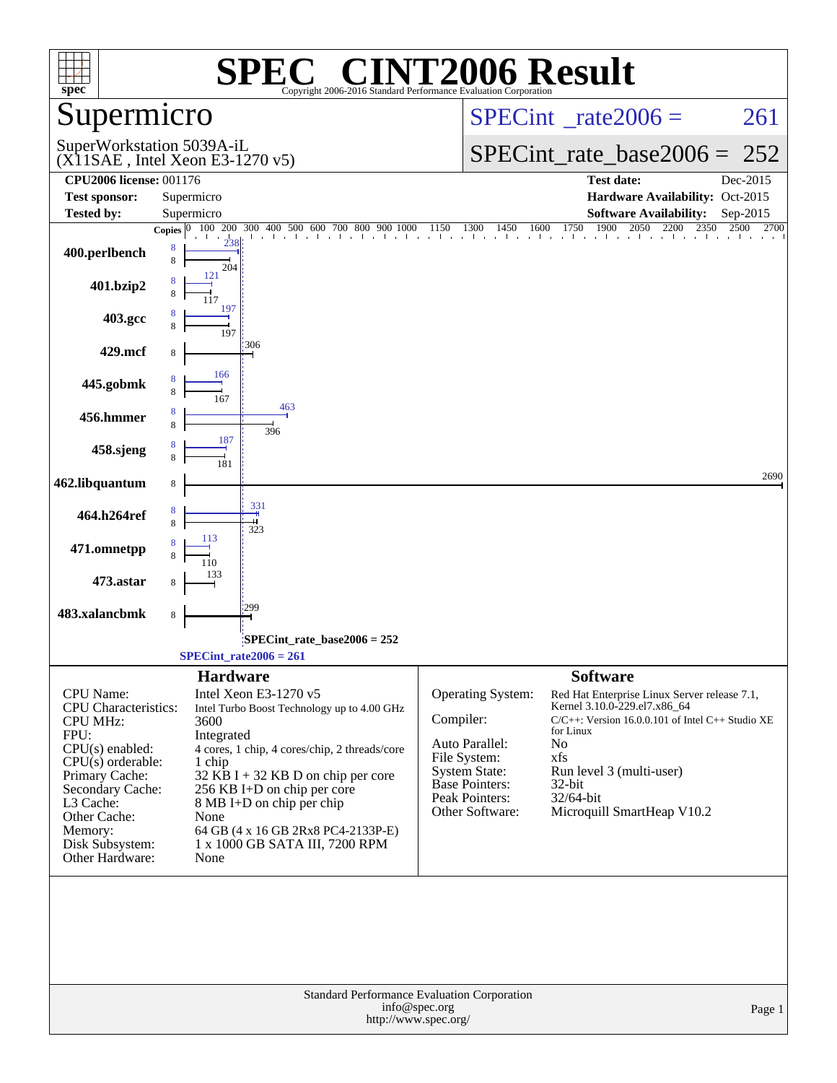| spec <sup>®</sup>                                                                                                                                                                                                                   | $\left[\begin{array}{c} \text{Re} \\ \text{Re} \end{array}\right]$<br>SPE<br>Copyright 2006-2016 Standard Performance Evaluation Corporation                                                                                                                                                                                                                                   | <b>INT2006 Result</b>                                                                                                                                                                                                                                                                                                                                                                                                            |
|-------------------------------------------------------------------------------------------------------------------------------------------------------------------------------------------------------------------------------------|--------------------------------------------------------------------------------------------------------------------------------------------------------------------------------------------------------------------------------------------------------------------------------------------------------------------------------------------------------------------------------|----------------------------------------------------------------------------------------------------------------------------------------------------------------------------------------------------------------------------------------------------------------------------------------------------------------------------------------------------------------------------------------------------------------------------------|
| Supermicro                                                                                                                                                                                                                          |                                                                                                                                                                                                                                                                                                                                                                                | $SPECint^{\circ}$ rate $2006 =$<br>261                                                                                                                                                                                                                                                                                                                                                                                           |
|                                                                                                                                                                                                                                     | SuperWorkstation 5039A-iL<br>$(X11SAE$ , Intel Xeon E3-1270 v5)                                                                                                                                                                                                                                                                                                                | $SPECint_rate_base2006 = 252$                                                                                                                                                                                                                                                                                                                                                                                                    |
| <b>CPU2006 license: 001176</b>                                                                                                                                                                                                      |                                                                                                                                                                                                                                                                                                                                                                                | <b>Test date:</b><br>Dec-2015                                                                                                                                                                                                                                                                                                                                                                                                    |
| <b>Test sponsor:</b>                                                                                                                                                                                                                | Supermicro                                                                                                                                                                                                                                                                                                                                                                     | Hardware Availability: Oct-2015                                                                                                                                                                                                                                                                                                                                                                                                  |
| <b>Tested by:</b>                                                                                                                                                                                                                   | Supermicro                                                                                                                                                                                                                                                                                                                                                                     | <b>Software Availability:</b><br>Sep-2015<br>1900<br><b>Copies</b> $\begin{bmatrix} 0 & 100 & 200 & 300 & 400 & 500 & 600 & 700 & 800 & 900 & 1000 & 1150 & 1300 & 1450 & 1600 & 1750 & 1900 & 2050 & 2200 & 2350 & 2500 & 2700 \end{bmatrix}$<br>2500 2700                                                                                                                                                                      |
| 400.perlbench                                                                                                                                                                                                                       | 8<br>8<br>204                                                                                                                                                                                                                                                                                                                                                                  |                                                                                                                                                                                                                                                                                                                                                                                                                                  |
| 401.bzip2                                                                                                                                                                                                                           | 121<br>197                                                                                                                                                                                                                                                                                                                                                                     |                                                                                                                                                                                                                                                                                                                                                                                                                                  |
| 403.gcc                                                                                                                                                                                                                             | 197                                                                                                                                                                                                                                                                                                                                                                            |                                                                                                                                                                                                                                                                                                                                                                                                                                  |
| 429.mcf                                                                                                                                                                                                                             | 306                                                                                                                                                                                                                                                                                                                                                                            |                                                                                                                                                                                                                                                                                                                                                                                                                                  |
| 445.gobmk                                                                                                                                                                                                                           | 166<br>167                                                                                                                                                                                                                                                                                                                                                                     |                                                                                                                                                                                                                                                                                                                                                                                                                                  |
| 456.hmmer                                                                                                                                                                                                                           | 463<br>396<br>187                                                                                                                                                                                                                                                                                                                                                              |                                                                                                                                                                                                                                                                                                                                                                                                                                  |
| 458.sjeng                                                                                                                                                                                                                           | 181                                                                                                                                                                                                                                                                                                                                                                            | 2690                                                                                                                                                                                                                                                                                                                                                                                                                             |
| 462.libquantum                                                                                                                                                                                                                      | 8                                                                                                                                                                                                                                                                                                                                                                              |                                                                                                                                                                                                                                                                                                                                                                                                                                  |
| 464.h264ref                                                                                                                                                                                                                         | 331<br>323                                                                                                                                                                                                                                                                                                                                                                     |                                                                                                                                                                                                                                                                                                                                                                                                                                  |
| 471.omnetpp                                                                                                                                                                                                                         | 113                                                                                                                                                                                                                                                                                                                                                                            |                                                                                                                                                                                                                                                                                                                                                                                                                                  |
| 473.astar<br>483.xalancbmk                                                                                                                                                                                                          | 299                                                                                                                                                                                                                                                                                                                                                                            |                                                                                                                                                                                                                                                                                                                                                                                                                                  |
|                                                                                                                                                                                                                                     | $\,$ 8 $\,$                                                                                                                                                                                                                                                                                                                                                                    |                                                                                                                                                                                                                                                                                                                                                                                                                                  |
|                                                                                                                                                                                                                                     | SPECint_rate_base2006 = 252<br>$SPECint_rate2006 = 261$                                                                                                                                                                                                                                                                                                                        |                                                                                                                                                                                                                                                                                                                                                                                                                                  |
| CPU Name:<br><b>CPU</b> Characteristics:<br><b>CPU MHz:</b><br>FPU:<br>$CPU(s)$ enabled:<br>$CPU(s)$ orderable:<br>Primary Cache:<br>Secondary Cache:<br>L3 Cache:<br>Other Cache:<br>Memory:<br>Disk Subsystem:<br>Other Hardware: | <b>Hardware</b><br>Intel Xeon E3-1270 v5<br>Intel Turbo Boost Technology up to 4.00 GHz<br>3600<br>Integrated<br>4 cores, 1 chip, 4 cores/chip, 2 threads/core<br>1 chip<br>$32$ KB I + 32 KB D on chip per core<br>256 KB I+D on chip per core<br>$8 \text{ MB I+D}$ on chip per chip<br>None<br>64 GB (4 x 16 GB 2Rx8 PC4-2133P-E)<br>1 x 1000 GB SATA III, 7200 RPM<br>None | <b>Software</b><br>Operating System:<br>Red Hat Enterprise Linux Server release 7.1,<br>Kernel 3.10.0-229.el7.x86_64<br>Compiler:<br>$C/C++$ : Version 16.0.0.101 of Intel $C++$ Studio XE<br>for Linux<br>Auto Parallel:<br>No<br>File System:<br>xfs<br><b>System State:</b><br>Run level 3 (multi-user)<br><b>Base Pointers:</b><br>$32$ -bit<br>Peak Pointers:<br>32/64-bit<br>Microquill SmartHeap V10.2<br>Other Software: |
|                                                                                                                                                                                                                                     | Standard Performance Evaluation Corporation<br>info@spec.org<br>http://www.spec.org/                                                                                                                                                                                                                                                                                           | Page 1                                                                                                                                                                                                                                                                                                                                                                                                                           |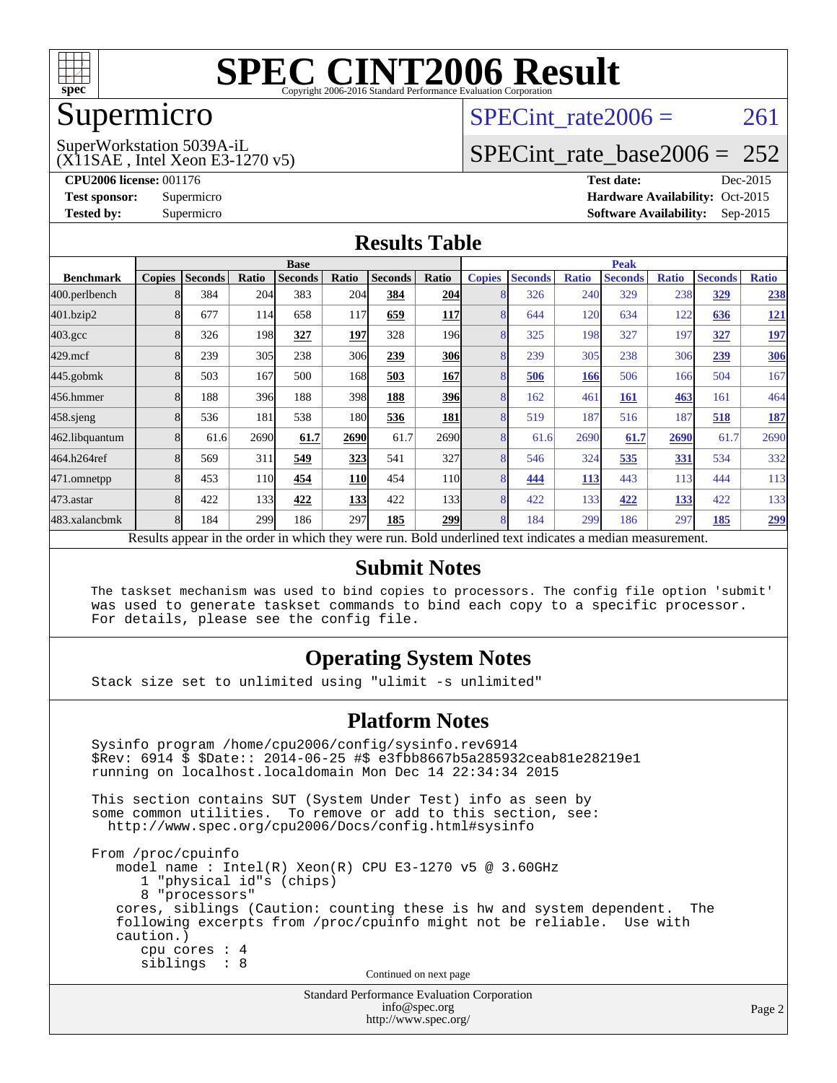

### Supermicro

## SPECint rate $2006 = 261$

#### (X11SAE , Intel Xeon E3-1270 v5) SuperWorkstation 5039A-iL

[SPECint\\_rate\\_base2006 =](http://www.spec.org/auto/cpu2006/Docs/result-fields.html#SPECintratebase2006) 252

**[CPU2006 license:](http://www.spec.org/auto/cpu2006/Docs/result-fields.html#CPU2006license)** 001176 **[Test date:](http://www.spec.org/auto/cpu2006/Docs/result-fields.html#Testdate)** Dec-2015 **[Test sponsor:](http://www.spec.org/auto/cpu2006/Docs/result-fields.html#Testsponsor)** Supermicro Supermicro **[Hardware Availability:](http://www.spec.org/auto/cpu2006/Docs/result-fields.html#HardwareAvailability)** Oct-2015 **[Tested by:](http://www.spec.org/auto/cpu2006/Docs/result-fields.html#Testedby)** Supermicro **Supermicro [Software Availability:](http://www.spec.org/auto/cpu2006/Docs/result-fields.html#SoftwareAvailability)** Sep-2015

#### **[Results Table](http://www.spec.org/auto/cpu2006/Docs/result-fields.html#ResultsTable)**

|                                                                                                          | <b>Base</b>   |                |       |                |                  |                | <b>Peak</b>      |               |                |              |                |              |                |              |
|----------------------------------------------------------------------------------------------------------|---------------|----------------|-------|----------------|------------------|----------------|------------------|---------------|----------------|--------------|----------------|--------------|----------------|--------------|
| <b>Benchmark</b>                                                                                         | <b>Copies</b> | <b>Seconds</b> | Ratio | <b>Seconds</b> | Ratio            | <b>Seconds</b> | Ratio            | <b>Copies</b> | <b>Seconds</b> | <b>Ratio</b> | <b>Seconds</b> | <b>Ratio</b> | <b>Seconds</b> | <b>Ratio</b> |
| 400.perlbench                                                                                            |               | 384            | 204   | 383            | 204              | 384            | 204              |               | 326            | 240          | 329            | 238          | 329            | 238          |
| 401.bzip2                                                                                                | 8             | 677            | 114   | 658            | 117              | 659            | 117              |               | 644            | 120          | 634            | 122          | 636            | <u>121</u>   |
| $403.\mathrm{gcc}$                                                                                       | 8             | 326            | 198   | 327            | 197              | 328            | 196 <sub>l</sub> |               | 325            | 198          | 327            | 197          | 327            | <u>197</u>   |
| $429$ mcf                                                                                                | 8             | 239            | 305   | 238            | 306              | 239            | 306              |               | 239            | 305          | 238            | 306          | 239            | <b>306</b>   |
| $445$ .gobm $k$                                                                                          | 8             | 503            | 167   | 500            | 168              | 503            | 167              |               | 506            | 166          | 506            | 166          | 504            | 167          |
| 456.hmmer                                                                                                | 8             | 188            | 396   | 188            | 398              | 188            | <b>396</b>       |               | 162            | 461          | 161            | 463          | 161            | 464          |
| $458$ .sjeng                                                                                             | 8             | 536            | 181   | 538            | 180 <sub>l</sub> | 536            | 181              |               | 519            | 187          | 516            | 187          | 518            | <b>187</b>   |
| 462.libquantum                                                                                           |               | 61.6           | 2690  | 61.7           | 2690             | 61.7           | 2690             |               | 61.6           | 2690         | 61.7           | 2690         | 61.7           | 2690         |
| 464.h264ref                                                                                              | 8             | 569            | 311   | 549            | 323              | 541            | 327              |               | 546            | 324          | 535            | 331          | 534            | 332          |
| 471.omnetpp                                                                                              | 8             | 453            | 110   | 454            | <b>110</b>       | 454            | 11 <sub>0</sub>  |               | 444            | 113          | 443            | 113          | 444            | 113          |
| $473$ . astar                                                                                            | 8             | 422            | 133   | 422            | <b>133</b>       | 422            | 133              | 8             | 422            | 133          | 422            | 133          | 422            | 133          |
| 483.xalancbmk                                                                                            | 8             | 184            | 299   | 186            | 297              | 185            | <b>299</b>       |               | 184            | 299          | 186            | 297          | 185            | <u>299</u>   |
| Results appear in the order in which they were run. Bold underlined text indicates a median measurement. |               |                |       |                |                  |                |                  |               |                |              |                |              |                |              |

#### **[Submit Notes](http://www.spec.org/auto/cpu2006/Docs/result-fields.html#SubmitNotes)**

 The taskset mechanism was used to bind copies to processors. The config file option 'submit' was used to generate taskset commands to bind each copy to a specific processor. For details, please see the config file.

#### **[Operating System Notes](http://www.spec.org/auto/cpu2006/Docs/result-fields.html#OperatingSystemNotes)**

Stack size set to unlimited using "ulimit -s unlimited"

#### **[Platform Notes](http://www.spec.org/auto/cpu2006/Docs/result-fields.html#PlatformNotes)**

 Sysinfo program /home/cpu2006/config/sysinfo.rev6914 \$Rev: 6914 \$ \$Date:: 2014-06-25 #\$ e3fbb8667b5a285932ceab81e28219e1 running on localhost.localdomain Mon Dec 14 22:34:34 2015 This section contains SUT (System Under Test) info as seen by some common utilities. To remove or add to this section, see: <http://www.spec.org/cpu2006/Docs/config.html#sysinfo> From /proc/cpuinfo model name : Intel(R) Xeon(R) CPU E3-1270 v5 @ 3.60GHz 1 "physical id"s (chips) 8 "processors" cores, siblings (Caution: counting these is hw and system dependent. The following excerpts from /proc/cpuinfo might not be reliable. Use with caution.) cpu cores : 4 siblings : 8 Continued on next page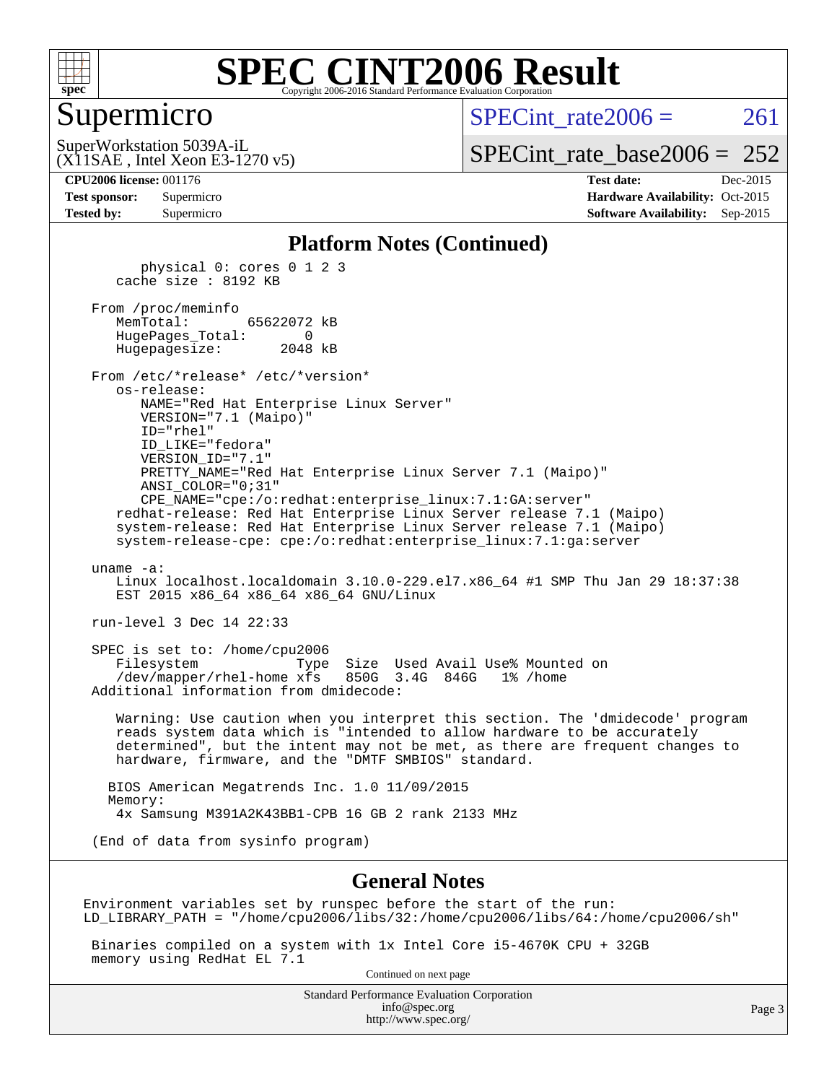

#### Supermicro

SPECint rate  $2006 = 261$ 

(X11SAE , Intel Xeon E3-1270 v5) SuperWorkstation 5039A-iL

[SPECint\\_rate\\_base2006 =](http://www.spec.org/auto/cpu2006/Docs/result-fields.html#SPECintratebase2006)  $252$ 

| <b>Test sponsor:</b> | Supermicro |
|----------------------|------------|
| <b>Tested by:</b>    | Supermicro |

**[CPU2006 license:](http://www.spec.org/auto/cpu2006/Docs/result-fields.html#CPU2006license)** 001176 **[Test date:](http://www.spec.org/auto/cpu2006/Docs/result-fields.html#Testdate)** Dec-2015 **[Hardware Availability:](http://www.spec.org/auto/cpu2006/Docs/result-fields.html#HardwareAvailability)** Oct-2015 **[Software Availability:](http://www.spec.org/auto/cpu2006/Docs/result-fields.html#SoftwareAvailability)** Sep-2015

#### **[Platform Notes \(Continued\)](http://www.spec.org/auto/cpu2006/Docs/result-fields.html#PlatformNotes)**

 physical 0: cores 0 1 2 3 cache size : 8192 KB From /proc/meminfo MemTotal: 65622072 kB HugePages\_Total: 0 Hugepagesize: 2048 kB From /etc/\*release\* /etc/\*version\* os-release: NAME="Red Hat Enterprise Linux Server" VERSION="7.1 (Maipo)" ID="rhel" ID\_LIKE="fedora" VERSION\_ID="7.1" PRETTY\_NAME="Red Hat Enterprise Linux Server 7.1 (Maipo)" ANSI\_COLOR="0;31" CPE\_NAME="cpe:/o:redhat:enterprise\_linux:7.1:GA:server" redhat-release: Red Hat Enterprise Linux Server release 7.1 (Maipo) system-release: Red Hat Enterprise Linux Server release 7.1 (Maipo) system-release-cpe: cpe:/o:redhat:enterprise\_linux:7.1:ga:server uname -a: Linux localhost.localdomain 3.10.0-229.el7.x86\_64 #1 SMP Thu Jan 29 18:37:38 EST 2015 x86 64 x86 64 x86 64 GNU/Linux run-level 3 Dec 14 22:33 SPEC is set to: /home/cpu2006 Filesystem Type Size Used Avail Use% Mounted on /dev/mapper/rhel-home xfs 850G 3.4G 846G 1% /home Additional information from dmidecode: Warning: Use caution when you interpret this section. The 'dmidecode' program reads system data which is "intended to allow hardware to be accurately determined", but the intent may not be met, as there are frequent changes to hardware, firmware, and the "DMTF SMBIOS" standard. BIOS American Megatrends Inc. 1.0 11/09/2015 Memory: 4x Samsung M391A2K43BB1-CPB 16 GB 2 rank 2133 MHz (End of data from sysinfo program)

#### **[General Notes](http://www.spec.org/auto/cpu2006/Docs/result-fields.html#GeneralNotes)**

Environment variables set by runspec before the start of the run: LD\_LIBRARY\_PATH = "/home/cpu2006/libs/32:/home/cpu2006/libs/64:/home/cpu2006/sh"

 Binaries compiled on a system with 1x Intel Core i5-4670K CPU + 32GB memory using RedHat EL 7.1

Continued on next page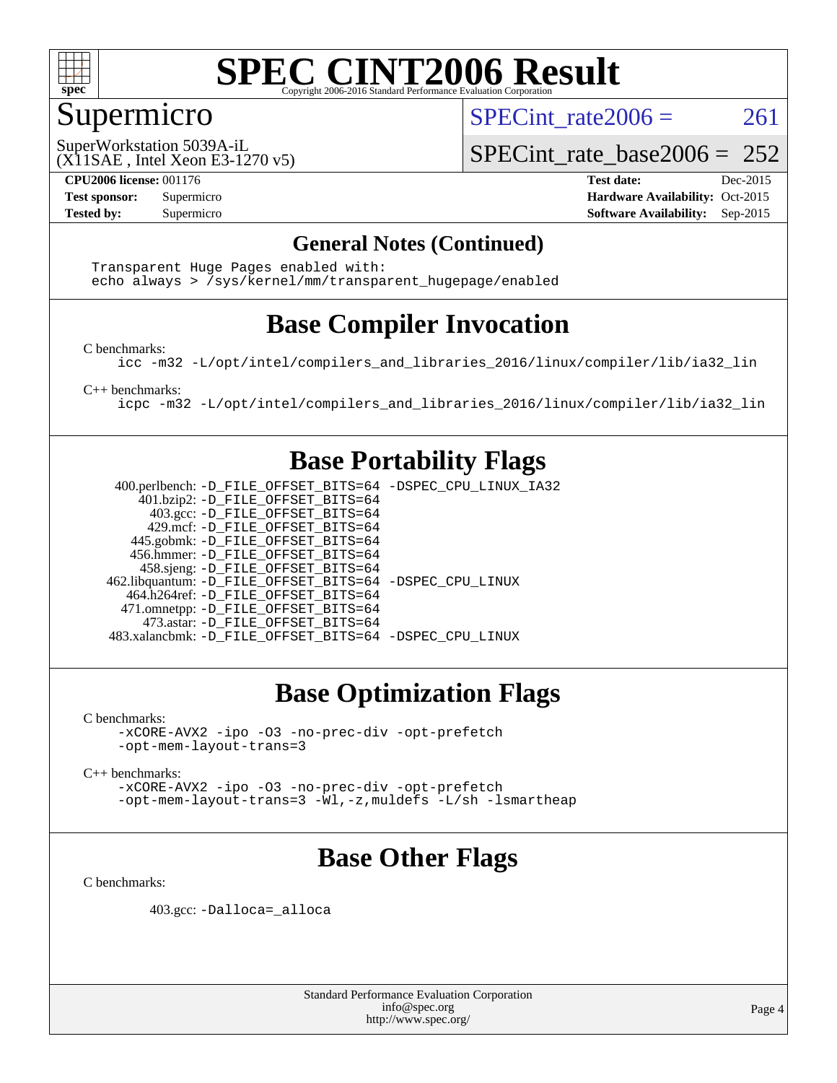

## Supermicro

SPECint rate $2006 = 261$ 

(X11SAE , Intel Xeon E3-1270 v5) SuperWorkstation 5039A-iL

SPECint rate base2006 =  $252$ 

**[CPU2006 license:](http://www.spec.org/auto/cpu2006/Docs/result-fields.html#CPU2006license)** 001176 **[Test date:](http://www.spec.org/auto/cpu2006/Docs/result-fields.html#Testdate)** Dec-2015 **[Test sponsor:](http://www.spec.org/auto/cpu2006/Docs/result-fields.html#Testsponsor)** Supermicro Supermicro **[Hardware Availability:](http://www.spec.org/auto/cpu2006/Docs/result-fields.html#HardwareAvailability)** Oct-2015 **[Tested by:](http://www.spec.org/auto/cpu2006/Docs/result-fields.html#Testedby)** Supermicro **Supermicro [Software Availability:](http://www.spec.org/auto/cpu2006/Docs/result-fields.html#SoftwareAvailability)** Sep-2015

#### **[General Notes \(Continued\)](http://www.spec.org/auto/cpu2006/Docs/result-fields.html#GeneralNotes)**

 Transparent Huge Pages enabled with: echo always > /sys/kernel/mm/transparent\_hugepage/enabled

### **[Base Compiler Invocation](http://www.spec.org/auto/cpu2006/Docs/result-fields.html#BaseCompilerInvocation)**

[C benchmarks](http://www.spec.org/auto/cpu2006/Docs/result-fields.html#Cbenchmarks):

[icc -m32 -L/opt/intel/compilers\\_and\\_libraries\\_2016/linux/compiler/lib/ia32\\_lin](http://www.spec.org/cpu2006/results/res2016q1/cpu2006-20151217-38477.flags.html#user_CCbase_intel_icc_e10256ba5924b668798078a321b0cb3f)

[C++ benchmarks:](http://www.spec.org/auto/cpu2006/Docs/result-fields.html#CXXbenchmarks)

[icpc -m32 -L/opt/intel/compilers\\_and\\_libraries\\_2016/linux/compiler/lib/ia32\\_lin](http://www.spec.org/cpu2006/results/res2016q1/cpu2006-20151217-38477.flags.html#user_CXXbase_intel_icpc_b4f50a394bdb4597aa5879c16bc3f5c5)

### **[Base Portability Flags](http://www.spec.org/auto/cpu2006/Docs/result-fields.html#BasePortabilityFlags)**

 400.perlbench: [-D\\_FILE\\_OFFSET\\_BITS=64](http://www.spec.org/cpu2006/results/res2016q1/cpu2006-20151217-38477.flags.html#user_basePORTABILITY400_perlbench_file_offset_bits_64_438cf9856305ebd76870a2c6dc2689ab) [-DSPEC\\_CPU\\_LINUX\\_IA32](http://www.spec.org/cpu2006/results/res2016q1/cpu2006-20151217-38477.flags.html#b400.perlbench_baseCPORTABILITY_DSPEC_CPU_LINUX_IA32) 401.bzip2: [-D\\_FILE\\_OFFSET\\_BITS=64](http://www.spec.org/cpu2006/results/res2016q1/cpu2006-20151217-38477.flags.html#user_basePORTABILITY401_bzip2_file_offset_bits_64_438cf9856305ebd76870a2c6dc2689ab) 403.gcc: [-D\\_FILE\\_OFFSET\\_BITS=64](http://www.spec.org/cpu2006/results/res2016q1/cpu2006-20151217-38477.flags.html#user_basePORTABILITY403_gcc_file_offset_bits_64_438cf9856305ebd76870a2c6dc2689ab) 429.mcf: [-D\\_FILE\\_OFFSET\\_BITS=64](http://www.spec.org/cpu2006/results/res2016q1/cpu2006-20151217-38477.flags.html#user_basePORTABILITY429_mcf_file_offset_bits_64_438cf9856305ebd76870a2c6dc2689ab) 445.gobmk: [-D\\_FILE\\_OFFSET\\_BITS=64](http://www.spec.org/cpu2006/results/res2016q1/cpu2006-20151217-38477.flags.html#user_basePORTABILITY445_gobmk_file_offset_bits_64_438cf9856305ebd76870a2c6dc2689ab) 456.hmmer: [-D\\_FILE\\_OFFSET\\_BITS=64](http://www.spec.org/cpu2006/results/res2016q1/cpu2006-20151217-38477.flags.html#user_basePORTABILITY456_hmmer_file_offset_bits_64_438cf9856305ebd76870a2c6dc2689ab) 458.sjeng: [-D\\_FILE\\_OFFSET\\_BITS=64](http://www.spec.org/cpu2006/results/res2016q1/cpu2006-20151217-38477.flags.html#user_basePORTABILITY458_sjeng_file_offset_bits_64_438cf9856305ebd76870a2c6dc2689ab) 462.libquantum: [-D\\_FILE\\_OFFSET\\_BITS=64](http://www.spec.org/cpu2006/results/res2016q1/cpu2006-20151217-38477.flags.html#user_basePORTABILITY462_libquantum_file_offset_bits_64_438cf9856305ebd76870a2c6dc2689ab) [-DSPEC\\_CPU\\_LINUX](http://www.spec.org/cpu2006/results/res2016q1/cpu2006-20151217-38477.flags.html#b462.libquantum_baseCPORTABILITY_DSPEC_CPU_LINUX) 464.h264ref: [-D\\_FILE\\_OFFSET\\_BITS=64](http://www.spec.org/cpu2006/results/res2016q1/cpu2006-20151217-38477.flags.html#user_basePORTABILITY464_h264ref_file_offset_bits_64_438cf9856305ebd76870a2c6dc2689ab) 471.omnetpp: [-D\\_FILE\\_OFFSET\\_BITS=64](http://www.spec.org/cpu2006/results/res2016q1/cpu2006-20151217-38477.flags.html#user_basePORTABILITY471_omnetpp_file_offset_bits_64_438cf9856305ebd76870a2c6dc2689ab) 473.astar: [-D\\_FILE\\_OFFSET\\_BITS=64](http://www.spec.org/cpu2006/results/res2016q1/cpu2006-20151217-38477.flags.html#user_basePORTABILITY473_astar_file_offset_bits_64_438cf9856305ebd76870a2c6dc2689ab) 483.xalancbmk: [-D\\_FILE\\_OFFSET\\_BITS=64](http://www.spec.org/cpu2006/results/res2016q1/cpu2006-20151217-38477.flags.html#user_basePORTABILITY483_xalancbmk_file_offset_bits_64_438cf9856305ebd76870a2c6dc2689ab) [-DSPEC\\_CPU\\_LINUX](http://www.spec.org/cpu2006/results/res2016q1/cpu2006-20151217-38477.flags.html#b483.xalancbmk_baseCXXPORTABILITY_DSPEC_CPU_LINUX)

## **[Base Optimization Flags](http://www.spec.org/auto/cpu2006/Docs/result-fields.html#BaseOptimizationFlags)**

[C benchmarks](http://www.spec.org/auto/cpu2006/Docs/result-fields.html#Cbenchmarks):

[-xCORE-AVX2](http://www.spec.org/cpu2006/results/res2016q1/cpu2006-20151217-38477.flags.html#user_CCbase_f-xAVX2_5f5fc0cbe2c9f62c816d3e45806c70d7) [-ipo](http://www.spec.org/cpu2006/results/res2016q1/cpu2006-20151217-38477.flags.html#user_CCbase_f-ipo) [-O3](http://www.spec.org/cpu2006/results/res2016q1/cpu2006-20151217-38477.flags.html#user_CCbase_f-O3) [-no-prec-div](http://www.spec.org/cpu2006/results/res2016q1/cpu2006-20151217-38477.flags.html#user_CCbase_f-no-prec-div) [-opt-prefetch](http://www.spec.org/cpu2006/results/res2016q1/cpu2006-20151217-38477.flags.html#user_CCbase_f-opt-prefetch) [-opt-mem-layout-trans=3](http://www.spec.org/cpu2006/results/res2016q1/cpu2006-20151217-38477.flags.html#user_CCbase_f-opt-mem-layout-trans_a7b82ad4bd7abf52556d4961a2ae94d5)

[C++ benchmarks:](http://www.spec.org/auto/cpu2006/Docs/result-fields.html#CXXbenchmarks)

[-xCORE-AVX2](http://www.spec.org/cpu2006/results/res2016q1/cpu2006-20151217-38477.flags.html#user_CXXbase_f-xAVX2_5f5fc0cbe2c9f62c816d3e45806c70d7) [-ipo](http://www.spec.org/cpu2006/results/res2016q1/cpu2006-20151217-38477.flags.html#user_CXXbase_f-ipo) [-O3](http://www.spec.org/cpu2006/results/res2016q1/cpu2006-20151217-38477.flags.html#user_CXXbase_f-O3) [-no-prec-div](http://www.spec.org/cpu2006/results/res2016q1/cpu2006-20151217-38477.flags.html#user_CXXbase_f-no-prec-div) [-opt-prefetch](http://www.spec.org/cpu2006/results/res2016q1/cpu2006-20151217-38477.flags.html#user_CXXbase_f-opt-prefetch) [-opt-mem-layout-trans=3](http://www.spec.org/cpu2006/results/res2016q1/cpu2006-20151217-38477.flags.html#user_CXXbase_f-opt-mem-layout-trans_a7b82ad4bd7abf52556d4961a2ae94d5) [-Wl,-z,muldefs](http://www.spec.org/cpu2006/results/res2016q1/cpu2006-20151217-38477.flags.html#user_CXXbase_link_force_multiple1_74079c344b956b9658436fd1b6dd3a8a) [-L/sh -lsmartheap](http://www.spec.org/cpu2006/results/res2016q1/cpu2006-20151217-38477.flags.html#user_CXXbase_SmartHeap_32f6c82aa1ed9c52345d30cf6e4a0499)

## **[Base Other Flags](http://www.spec.org/auto/cpu2006/Docs/result-fields.html#BaseOtherFlags)**

[C benchmarks](http://www.spec.org/auto/cpu2006/Docs/result-fields.html#Cbenchmarks):

403.gcc: [-Dalloca=\\_alloca](http://www.spec.org/cpu2006/results/res2016q1/cpu2006-20151217-38477.flags.html#b403.gcc_baseEXTRA_CFLAGS_Dalloca_be3056838c12de2578596ca5467af7f3)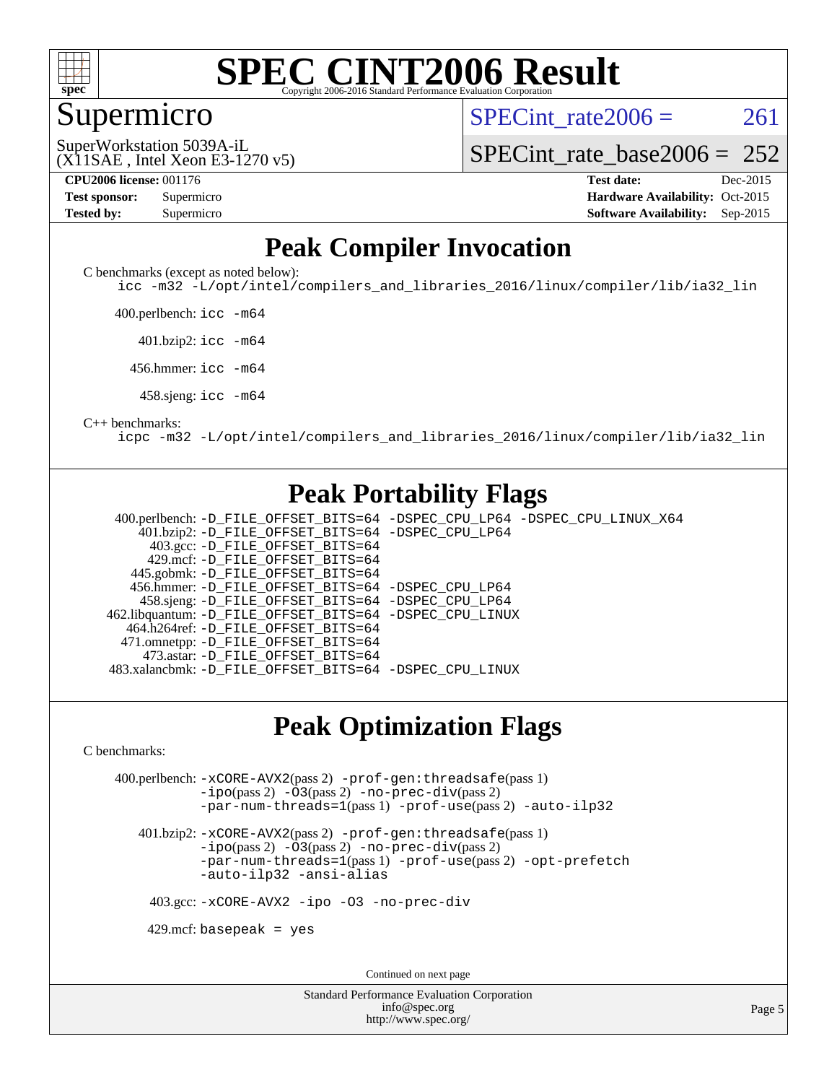

#### **[SPEC CINT2006 Result](http://www.spec.org/auto/cpu2006/Docs/result-fields.html#SPECCINT2006Result)** Copyright 2006-2016 Standard Performance Evaluation C

#### Supermicro

SPECint rate $2006 = 261$ 

(X11SAE , Intel Xeon E3-1270 v5) SuperWorkstation 5039A-iL

[SPECint\\_rate\\_base2006 =](http://www.spec.org/auto/cpu2006/Docs/result-fields.html#SPECintratebase2006)  $252$ 

**[CPU2006 license:](http://www.spec.org/auto/cpu2006/Docs/result-fields.html#CPU2006license)** 001176 **[Test date:](http://www.spec.org/auto/cpu2006/Docs/result-fields.html#Testdate)** Dec-2015 **[Test sponsor:](http://www.spec.org/auto/cpu2006/Docs/result-fields.html#Testsponsor)** Supermicro Supermicro **[Hardware Availability:](http://www.spec.org/auto/cpu2006/Docs/result-fields.html#HardwareAvailability)** Oct-2015 **[Tested by:](http://www.spec.org/auto/cpu2006/Docs/result-fields.html#Testedby)** Supermicro **Supermicro [Software Availability:](http://www.spec.org/auto/cpu2006/Docs/result-fields.html#SoftwareAvailability)** Sep-2015

### **[Peak Compiler Invocation](http://www.spec.org/auto/cpu2006/Docs/result-fields.html#PeakCompilerInvocation)**

[C benchmarks \(except as noted below\)](http://www.spec.org/auto/cpu2006/Docs/result-fields.html#Cbenchmarksexceptasnotedbelow):

[icc -m32 -L/opt/intel/compilers\\_and\\_libraries\\_2016/linux/compiler/lib/ia32\\_lin](http://www.spec.org/cpu2006/results/res2016q1/cpu2006-20151217-38477.flags.html#user_CCpeak_intel_icc_e10256ba5924b668798078a321b0cb3f)

400.perlbench: [icc -m64](http://www.spec.org/cpu2006/results/res2016q1/cpu2006-20151217-38477.flags.html#user_peakCCLD400_perlbench_intel_icc_64bit_bda6cc9af1fdbb0edc3795bac97ada53)

401.bzip2: [icc -m64](http://www.spec.org/cpu2006/results/res2016q1/cpu2006-20151217-38477.flags.html#user_peakCCLD401_bzip2_intel_icc_64bit_bda6cc9af1fdbb0edc3795bac97ada53)

456.hmmer: [icc -m64](http://www.spec.org/cpu2006/results/res2016q1/cpu2006-20151217-38477.flags.html#user_peakCCLD456_hmmer_intel_icc_64bit_bda6cc9af1fdbb0edc3795bac97ada53)

458.sjeng: [icc -m64](http://www.spec.org/cpu2006/results/res2016q1/cpu2006-20151217-38477.flags.html#user_peakCCLD458_sjeng_intel_icc_64bit_bda6cc9af1fdbb0edc3795bac97ada53)

#### [C++ benchmarks:](http://www.spec.org/auto/cpu2006/Docs/result-fields.html#CXXbenchmarks)

[icpc -m32 -L/opt/intel/compilers\\_and\\_libraries\\_2016/linux/compiler/lib/ia32\\_lin](http://www.spec.org/cpu2006/results/res2016q1/cpu2006-20151217-38477.flags.html#user_CXXpeak_intel_icpc_b4f50a394bdb4597aa5879c16bc3f5c5)

### **[Peak Portability Flags](http://www.spec.org/auto/cpu2006/Docs/result-fields.html#PeakPortabilityFlags)**

 400.perlbench: [-D\\_FILE\\_OFFSET\\_BITS=64](http://www.spec.org/cpu2006/results/res2016q1/cpu2006-20151217-38477.flags.html#user_peakPORTABILITY400_perlbench_file_offset_bits_64_438cf9856305ebd76870a2c6dc2689ab) [-DSPEC\\_CPU\\_LP64](http://www.spec.org/cpu2006/results/res2016q1/cpu2006-20151217-38477.flags.html#b400.perlbench_peakCPORTABILITY_DSPEC_CPU_LP64) [-DSPEC\\_CPU\\_LINUX\\_X64](http://www.spec.org/cpu2006/results/res2016q1/cpu2006-20151217-38477.flags.html#b400.perlbench_peakCPORTABILITY_DSPEC_CPU_LINUX_X64) 401.bzip2: [-D\\_FILE\\_OFFSET\\_BITS=64](http://www.spec.org/cpu2006/results/res2016q1/cpu2006-20151217-38477.flags.html#user_peakPORTABILITY401_bzip2_file_offset_bits_64_438cf9856305ebd76870a2c6dc2689ab) [-DSPEC\\_CPU\\_LP64](http://www.spec.org/cpu2006/results/res2016q1/cpu2006-20151217-38477.flags.html#suite_peakCPORTABILITY401_bzip2_DSPEC_CPU_LP64) 403.gcc: [-D\\_FILE\\_OFFSET\\_BITS=64](http://www.spec.org/cpu2006/results/res2016q1/cpu2006-20151217-38477.flags.html#user_peakPORTABILITY403_gcc_file_offset_bits_64_438cf9856305ebd76870a2c6dc2689ab) 429.mcf: [-D\\_FILE\\_OFFSET\\_BITS=64](http://www.spec.org/cpu2006/results/res2016q1/cpu2006-20151217-38477.flags.html#user_peakPORTABILITY429_mcf_file_offset_bits_64_438cf9856305ebd76870a2c6dc2689ab) 445.gobmk: [-D\\_FILE\\_OFFSET\\_BITS=64](http://www.spec.org/cpu2006/results/res2016q1/cpu2006-20151217-38477.flags.html#user_peakPORTABILITY445_gobmk_file_offset_bits_64_438cf9856305ebd76870a2c6dc2689ab) 456.hmmer: [-D\\_FILE\\_OFFSET\\_BITS=64](http://www.spec.org/cpu2006/results/res2016q1/cpu2006-20151217-38477.flags.html#user_peakPORTABILITY456_hmmer_file_offset_bits_64_438cf9856305ebd76870a2c6dc2689ab) [-DSPEC\\_CPU\\_LP64](http://www.spec.org/cpu2006/results/res2016q1/cpu2006-20151217-38477.flags.html#suite_peakCPORTABILITY456_hmmer_DSPEC_CPU_LP64) 458.sjeng: [-D\\_FILE\\_OFFSET\\_BITS=64](http://www.spec.org/cpu2006/results/res2016q1/cpu2006-20151217-38477.flags.html#user_peakPORTABILITY458_sjeng_file_offset_bits_64_438cf9856305ebd76870a2c6dc2689ab) [-DSPEC\\_CPU\\_LP64](http://www.spec.org/cpu2006/results/res2016q1/cpu2006-20151217-38477.flags.html#suite_peakCPORTABILITY458_sjeng_DSPEC_CPU_LP64) 462.libquantum: [-D\\_FILE\\_OFFSET\\_BITS=64](http://www.spec.org/cpu2006/results/res2016q1/cpu2006-20151217-38477.flags.html#user_peakPORTABILITY462_libquantum_file_offset_bits_64_438cf9856305ebd76870a2c6dc2689ab) [-DSPEC\\_CPU\\_LINUX](http://www.spec.org/cpu2006/results/res2016q1/cpu2006-20151217-38477.flags.html#b462.libquantum_peakCPORTABILITY_DSPEC_CPU_LINUX) 464.h264ref: [-D\\_FILE\\_OFFSET\\_BITS=64](http://www.spec.org/cpu2006/results/res2016q1/cpu2006-20151217-38477.flags.html#user_peakPORTABILITY464_h264ref_file_offset_bits_64_438cf9856305ebd76870a2c6dc2689ab) 471.omnetpp: [-D\\_FILE\\_OFFSET\\_BITS=64](http://www.spec.org/cpu2006/results/res2016q1/cpu2006-20151217-38477.flags.html#user_peakPORTABILITY471_omnetpp_file_offset_bits_64_438cf9856305ebd76870a2c6dc2689ab) 473.astar: [-D\\_FILE\\_OFFSET\\_BITS=64](http://www.spec.org/cpu2006/results/res2016q1/cpu2006-20151217-38477.flags.html#user_peakPORTABILITY473_astar_file_offset_bits_64_438cf9856305ebd76870a2c6dc2689ab) 483.xalancbmk: [-D\\_FILE\\_OFFSET\\_BITS=64](http://www.spec.org/cpu2006/results/res2016q1/cpu2006-20151217-38477.flags.html#user_peakPORTABILITY483_xalancbmk_file_offset_bits_64_438cf9856305ebd76870a2c6dc2689ab) [-DSPEC\\_CPU\\_LINUX](http://www.spec.org/cpu2006/results/res2016q1/cpu2006-20151217-38477.flags.html#b483.xalancbmk_peakCXXPORTABILITY_DSPEC_CPU_LINUX)

#### **[Peak Optimization Flags](http://www.spec.org/auto/cpu2006/Docs/result-fields.html#PeakOptimizationFlags)**

[C benchmarks](http://www.spec.org/auto/cpu2006/Docs/result-fields.html#Cbenchmarks):

 400.perlbench: [-xCORE-AVX2](http://www.spec.org/cpu2006/results/res2016q1/cpu2006-20151217-38477.flags.html#user_peakPASS2_CFLAGSPASS2_LDCFLAGS400_perlbench_f-xAVX2_5f5fc0cbe2c9f62c816d3e45806c70d7)(pass 2) [-prof-gen:threadsafe](http://www.spec.org/cpu2006/results/res2016q1/cpu2006-20151217-38477.flags.html#user_peakPASS1_CFLAGSPASS1_LDCFLAGS400_perlbench_prof_gen_21a26eb79f378b550acd7bec9fe4467a)(pass 1) [-ipo](http://www.spec.org/cpu2006/results/res2016q1/cpu2006-20151217-38477.flags.html#user_peakPASS2_CFLAGSPASS2_LDCFLAGS400_perlbench_f-ipo)(pass 2) [-O3](http://www.spec.org/cpu2006/results/res2016q1/cpu2006-20151217-38477.flags.html#user_peakPASS2_CFLAGSPASS2_LDCFLAGS400_perlbench_f-O3)(pass 2) [-no-prec-div](http://www.spec.org/cpu2006/results/res2016q1/cpu2006-20151217-38477.flags.html#user_peakPASS2_CFLAGSPASS2_LDCFLAGS400_perlbench_f-no-prec-div)(pass 2) [-par-num-threads=1](http://www.spec.org/cpu2006/results/res2016q1/cpu2006-20151217-38477.flags.html#user_peakPASS1_CFLAGSPASS1_LDCFLAGS400_perlbench_par_num_threads_786a6ff141b4e9e90432e998842df6c2)(pass 1) [-prof-use](http://www.spec.org/cpu2006/results/res2016q1/cpu2006-20151217-38477.flags.html#user_peakPASS2_CFLAGSPASS2_LDCFLAGS400_perlbench_prof_use_bccf7792157ff70d64e32fe3e1250b55)(pass 2) [-auto-ilp32](http://www.spec.org/cpu2006/results/res2016q1/cpu2006-20151217-38477.flags.html#user_peakCOPTIMIZE400_perlbench_f-auto-ilp32)

 401.bzip2: [-xCORE-AVX2](http://www.spec.org/cpu2006/results/res2016q1/cpu2006-20151217-38477.flags.html#user_peakPASS2_CFLAGSPASS2_LDCFLAGS401_bzip2_f-xAVX2_5f5fc0cbe2c9f62c816d3e45806c70d7)(pass 2) [-prof-gen:threadsafe](http://www.spec.org/cpu2006/results/res2016q1/cpu2006-20151217-38477.flags.html#user_peakPASS1_CFLAGSPASS1_LDCFLAGS401_bzip2_prof_gen_21a26eb79f378b550acd7bec9fe4467a)(pass 1)  $-i\text{po}(pass 2)$  [-O3](http://www.spec.org/cpu2006/results/res2016q1/cpu2006-20151217-38477.flags.html#user_peakPASS2_CFLAGSPASS2_LDCFLAGS401_bzip2_f-O3) $(pass 2)$  [-no-prec-div](http://www.spec.org/cpu2006/results/res2016q1/cpu2006-20151217-38477.flags.html#user_peakPASS2_CFLAGSPASS2_LDCFLAGS401_bzip2_f-no-prec-div) $(pass 2)$ [-par-num-threads=1](http://www.spec.org/cpu2006/results/res2016q1/cpu2006-20151217-38477.flags.html#user_peakPASS1_CFLAGSPASS1_LDCFLAGS401_bzip2_par_num_threads_786a6ff141b4e9e90432e998842df6c2)(pass 1) [-prof-use](http://www.spec.org/cpu2006/results/res2016q1/cpu2006-20151217-38477.flags.html#user_peakPASS2_CFLAGSPASS2_LDCFLAGS401_bzip2_prof_use_bccf7792157ff70d64e32fe3e1250b55)(pass 2) [-opt-prefetch](http://www.spec.org/cpu2006/results/res2016q1/cpu2006-20151217-38477.flags.html#user_peakCOPTIMIZE401_bzip2_f-opt-prefetch) [-auto-ilp32](http://www.spec.org/cpu2006/results/res2016q1/cpu2006-20151217-38477.flags.html#user_peakCOPTIMIZE401_bzip2_f-auto-ilp32) [-ansi-alias](http://www.spec.org/cpu2006/results/res2016q1/cpu2006-20151217-38477.flags.html#user_peakCOPTIMIZE401_bzip2_f-ansi-alias)

403.gcc: [-xCORE-AVX2](http://www.spec.org/cpu2006/results/res2016q1/cpu2006-20151217-38477.flags.html#user_peakCOPTIMIZE403_gcc_f-xAVX2_5f5fc0cbe2c9f62c816d3e45806c70d7) [-ipo](http://www.spec.org/cpu2006/results/res2016q1/cpu2006-20151217-38477.flags.html#user_peakCOPTIMIZE403_gcc_f-ipo) [-O3](http://www.spec.org/cpu2006/results/res2016q1/cpu2006-20151217-38477.flags.html#user_peakCOPTIMIZE403_gcc_f-O3) [-no-prec-div](http://www.spec.org/cpu2006/results/res2016q1/cpu2006-20151217-38477.flags.html#user_peakCOPTIMIZE403_gcc_f-no-prec-div)

 $429$ .mcf: basepeak = yes

Continued on next page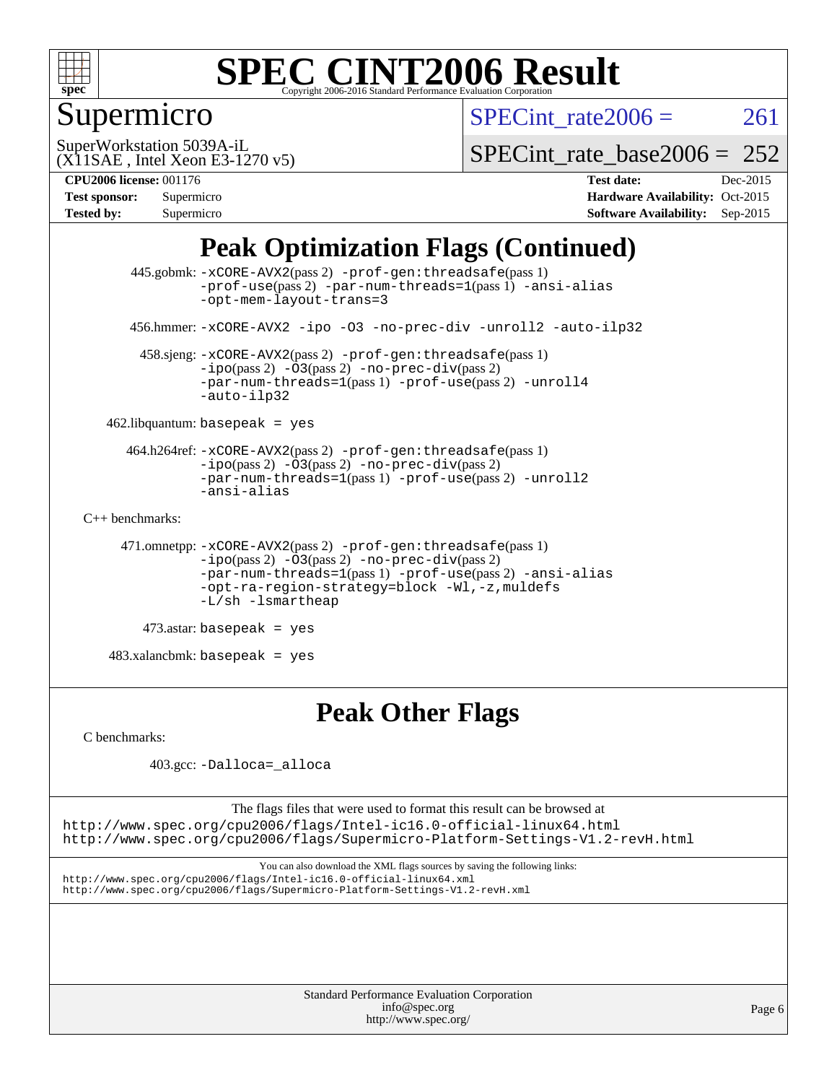

## Supermicro

SPECint rate $2006 = 261$ 

(X11SAE , Intel Xeon E3-1270 v5) SuperWorkstation 5039A-iL

SPECint rate base2006 =  $252$ 

**[Tested by:](http://www.spec.org/auto/cpu2006/Docs/result-fields.html#Testedby)** Supermicro **[Software Availability:](http://www.spec.org/auto/cpu2006/Docs/result-fields.html#SoftwareAvailability)** Sep-2015

**[CPU2006 license:](http://www.spec.org/auto/cpu2006/Docs/result-fields.html#CPU2006license)** 001176 **[Test date:](http://www.spec.org/auto/cpu2006/Docs/result-fields.html#Testdate)** Dec-2015 **[Test sponsor:](http://www.spec.org/auto/cpu2006/Docs/result-fields.html#Testsponsor)** Supermicro **[Hardware Availability:](http://www.spec.org/auto/cpu2006/Docs/result-fields.html#HardwareAvailability)** Oct-2015

## **[Peak Optimization Flags \(Continued\)](http://www.spec.org/auto/cpu2006/Docs/result-fields.html#PeakOptimizationFlags)**

```
 445.gobmk: -xCORE-AVX2(pass 2) -prof-gen:threadsafe(pass 1)
                -prof-use(pass 2) -par-num-threads=1(pass 1) -ansi-alias
                -opt-mem-layout-trans=3
       456.hmmer: -xCORE-AVX2 -ipo -O3 -no-prec-div -unroll2 -auto-ilp32
        458.sjeng: -xCORE-AVX2(pass 2) -prof-gen:threadsafe(pass 1)
                -i\text{po}(pass 2) -\overline{O}3(pass 2)-no-prec-div(pass 2)
                -par-num-threads=1-prof-use-unroll4
                -auto-ilp32
    462.libquantum: basepeak = yes
      464.h264ref: -xCORE-AVX2(pass 2) -prof-gen:threadsafe(pass 1)
                -ipo(pass 2) -O3(pass 2) -no-prec-div(pass 2)
               -par-num-threads=1(pass 1) -prof-use(pass 2) -unroll2
                -ansi-alias
C++ benchmarks: 
      471.omnetpp: -xCORE-AVX2(pass 2) -prof-gen:threadsafe(pass 1)
               -no-prec-div(pass 2)-par-num-threads=1(pass 1) -prof-use(pass 2) -ansi-alias
                -opt-ra-region-strategy=block -Wl,-z,muldefs
                -L/sh -lsmartheap
         473.astar: basepeak = yes
    483.xalancbmk: basepeak = yes
```
# **[Peak Other Flags](http://www.spec.org/auto/cpu2006/Docs/result-fields.html#PeakOtherFlags)**

[C benchmarks](http://www.spec.org/auto/cpu2006/Docs/result-fields.html#Cbenchmarks):

403.gcc: [-Dalloca=\\_alloca](http://www.spec.org/cpu2006/results/res2016q1/cpu2006-20151217-38477.flags.html#b403.gcc_peakEXTRA_CFLAGS_Dalloca_be3056838c12de2578596ca5467af7f3)

The flags files that were used to format this result can be browsed at <http://www.spec.org/cpu2006/flags/Intel-ic16.0-official-linux64.html> <http://www.spec.org/cpu2006/flags/Supermicro-Platform-Settings-V1.2-revH.html>

You can also download the XML flags sources by saving the following links: <http://www.spec.org/cpu2006/flags/Intel-ic16.0-official-linux64.xml> <http://www.spec.org/cpu2006/flags/Supermicro-Platform-Settings-V1.2-revH.xml>